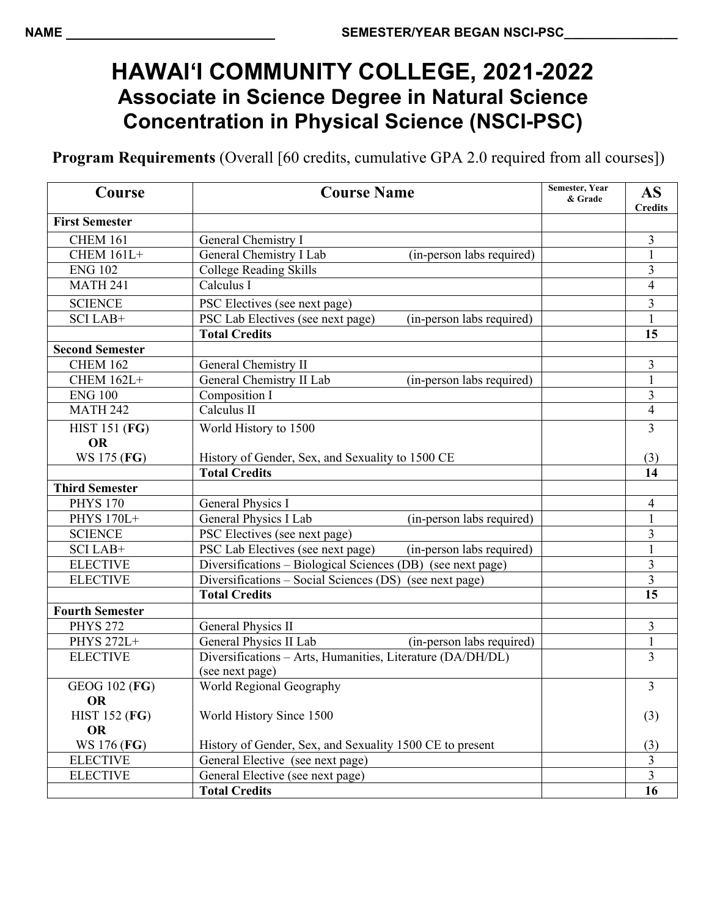## **HAWAI'I COMMUNITY COLLEGE, 2021-2022 Associate in Science Degree in Natural Science Concentration in Physical Science (NSCI-PSC)**

**Program Requirements** (Overall [60 credits, cumulative GPA 2.0 required from all courses])

| Course                            | <b>Course Name</b>                                             | <b>Semester, Year</b><br>& Grade | <b>AS</b><br><b>Credits</b> |
|-----------------------------------|----------------------------------------------------------------|----------------------------------|-----------------------------|
| <b>First Semester</b>             |                                                                |                                  |                             |
| <b>CHEM 161</b>                   | General Chemistry I                                            |                                  | 3                           |
| <b>CHEM 161L+</b>                 | General Chemistry I Lab<br>(in-person labs required)           |                                  | $\mathbf{1}$                |
| <b>ENG 102</b>                    | <b>College Reading Skills</b>                                  |                                  | 3                           |
| <b>MATH 241</b>                   | Calculus I                                                     |                                  | $\overline{\mathcal{L}}$    |
| <b>SCIENCE</b>                    | PSC Electives (see next page)                                  |                                  | 3                           |
| SCI LAB+                          | PSC Lab Electives (see next page)<br>(in-person labs required) |                                  |                             |
|                                   | <b>Total Credits</b>                                           |                                  | 15                          |
| <b>Second Semester</b>            |                                                                |                                  |                             |
| <b>CHEM 162</b>                   | General Chemistry II                                           |                                  | 3                           |
| <b>CHEM 162L+</b>                 | General Chemistry II Lab<br>(in-person labs required)          |                                  | $\mathbf{1}$                |
| <b>ENG 100</b>                    | Composition I                                                  |                                  | 3                           |
| <b>MATH 242</b>                   | Calculus II                                                    |                                  | $\overline{4}$              |
| <b>HIST 151 (FG)</b><br><b>OR</b> | World History to 1500                                          |                                  | $\overline{3}$              |
| WS 175 (FG)                       | History of Gender, Sex, and Sexuality to 1500 CE               |                                  | (3)                         |
|                                   | <b>Total Credits</b>                                           |                                  | 14                          |
| <b>Third Semester</b>             |                                                                |                                  |                             |
| <b>PHYS 170</b>                   | General Physics I                                              |                                  | $\overline{4}$              |
| PHYS 170L+                        | General Physics I Lab<br>(in-person labs required)             |                                  | $\mathbf{1}$                |
| <b>SCIENCE</b>                    | PSC Electives (see next page)                                  |                                  | 3                           |
| SCI LAB+                          | PSC Lab Electives (see next page)<br>(in-person labs required) |                                  | $\mathbf{1}$                |
| <b>ELECTIVE</b>                   | Diversifications - Biological Sciences (DB) (see next page)    |                                  | $\overline{3}$              |
| <b>ELECTIVE</b>                   | Diversifications - Social Sciences (DS) (see next page)        |                                  | 3                           |
|                                   | <b>Total Credits</b>                                           |                                  | 15                          |
| <b>Fourth Semester</b>            |                                                                |                                  |                             |
| <b>PHYS 272</b>                   | General Physics II                                             |                                  | 3                           |
| <b>PHYS 272L+</b>                 | General Physics II Lab<br>(in-person labs required)            |                                  | $\mathbf 1$                 |
| <b>ELECTIVE</b>                   | Diversifications - Arts, Humanities, Literature (DA/DH/DL)     |                                  | 3                           |
|                                   | (see next page)                                                |                                  |                             |
| <b>GEOG 102 (FG)</b>              | World Regional Geography                                       |                                  | 3                           |
| OR                                |                                                                |                                  |                             |
| <b>HIST 152 (FG)</b>              | World History Since 1500                                       |                                  | (3)                         |
| <b>OR</b>                         |                                                                |                                  |                             |
| WS 176 (FG)                       | History of Gender, Sex, and Sexuality 1500 CE to present       |                                  | (3)                         |
| <b>ELECTIVE</b>                   | General Elective (see next page)                               |                                  | $\mathfrak{Z}$              |
| <b>ELECTIVE</b>                   | General Elective (see next page)                               |                                  | $\overline{3}$              |
|                                   | <b>Total Credits</b>                                           |                                  | 16                          |